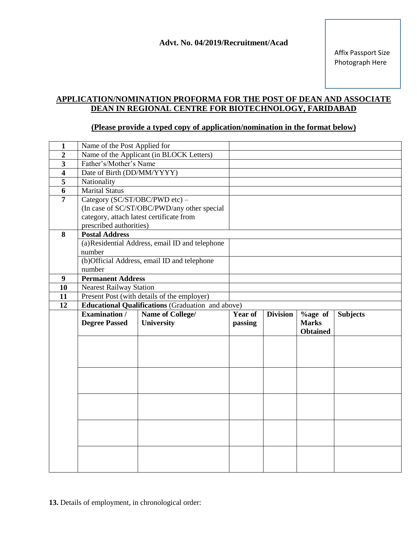## **APPLICATION/NOMINATION PROFORMA FOR THE POST OF DEAN AND ASSOCIATE DEAN IN REGIONAL CENTRE FOR BIOTECHNOLOGY, FARIDABAD**

## **(Please provide a typed copy of application/nomination in the format below)**

| $\mathbf{1}$            | Name of the Post Applied for                             |                                                |         |                 |                 |                 |  |
|-------------------------|----------------------------------------------------------|------------------------------------------------|---------|-----------------|-----------------|-----------------|--|
| $\overline{2}$          |                                                          | Name of the Applicant (in BLOCK Letters)       |         |                 |                 |                 |  |
| $\overline{\mathbf{3}}$ | Father's/Mother's Name                                   |                                                |         |                 |                 |                 |  |
| $\overline{\mathbf{4}}$ | Date of Birth (DD/MM/YYYY)                               |                                                |         |                 |                 |                 |  |
| 5                       | Nationality                                              |                                                |         |                 |                 |                 |  |
| 6                       | <b>Marital Status</b>                                    |                                                |         |                 |                 |                 |  |
| 7                       | Category (SC/ST/OBC/PWD etc) -                           |                                                |         |                 |                 |                 |  |
|                         |                                                          | (In case of SC/ST/OBC/PWD/any other special    |         |                 |                 |                 |  |
|                         |                                                          | category, attach latest certificate from       |         |                 |                 |                 |  |
|                         | prescribed authorities)                                  |                                                |         |                 |                 |                 |  |
| 8                       | <b>Postal Address</b>                                    |                                                |         |                 |                 |                 |  |
|                         |                                                          | (a)Residential Address, email ID and telephone |         |                 |                 |                 |  |
|                         | number                                                   |                                                |         |                 |                 |                 |  |
|                         | (b)Official Address, email ID and telephone              |                                                |         |                 |                 |                 |  |
|                         | number                                                   |                                                |         |                 |                 |                 |  |
| 9                       | <b>Permanent Address</b>                                 |                                                |         |                 |                 |                 |  |
| 10                      | <b>Nearest Railway Station</b>                           |                                                |         |                 |                 |                 |  |
| 11                      | Present Post (with details of the employer)              |                                                |         |                 |                 |                 |  |
| $\overline{12}$         | <b>Educational Qualifications</b> (Graduation and above) |                                                |         |                 |                 |                 |  |
|                         |                                                          |                                                |         |                 |                 |                 |  |
|                         | Examination /                                            | Name of College/                               | Year of | <b>Division</b> | $%$ age of      | <b>Subjects</b> |  |
|                         | <b>Degree Passed</b>                                     | University                                     | passing |                 | <b>Marks</b>    |                 |  |
|                         |                                                          |                                                |         |                 | <b>Obtained</b> |                 |  |
|                         |                                                          |                                                |         |                 |                 |                 |  |
|                         |                                                          |                                                |         |                 |                 |                 |  |
|                         |                                                          |                                                |         |                 |                 |                 |  |
|                         |                                                          |                                                |         |                 |                 |                 |  |
|                         |                                                          |                                                |         |                 |                 |                 |  |
|                         |                                                          |                                                |         |                 |                 |                 |  |
|                         |                                                          |                                                |         |                 |                 |                 |  |
|                         |                                                          |                                                |         |                 |                 |                 |  |
|                         |                                                          |                                                |         |                 |                 |                 |  |
|                         |                                                          |                                                |         |                 |                 |                 |  |
|                         |                                                          |                                                |         |                 |                 |                 |  |
|                         |                                                          |                                                |         |                 |                 |                 |  |
|                         |                                                          |                                                |         |                 |                 |                 |  |

**13.** Details of employment, in chronological order: